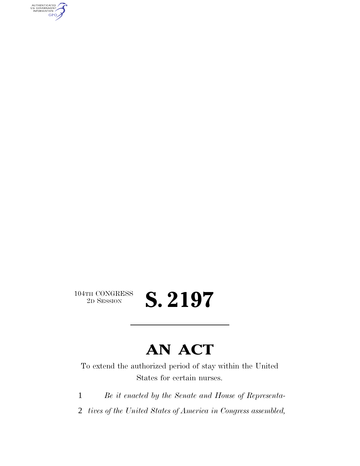AUTHENTICATED<br>U.S. GOVERNMENT<br>INFORMATION **GPO** 

104TH CONGRESS<br>2D SESSION

## **AN ACT**

2D SESSION **S. 2197**

To extend the authorized period of stay within the United States for certain nurses.

1 *Be it enacted by the Senate and House of Representa-*

2 *tives of the United States of America in Congress assembled,*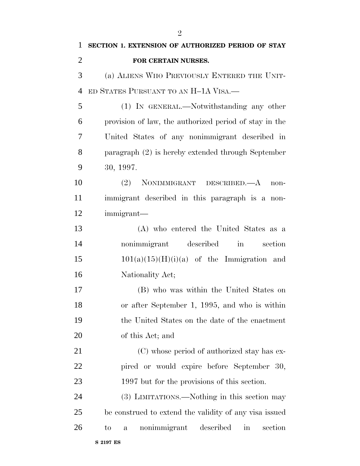| $\mathbf{1}$   | SECTION 1. EXTENSION OF AUTHORIZED PERIOD OF STAY                                 |
|----------------|-----------------------------------------------------------------------------------|
| $\overline{2}$ | FOR CERTAIN NURSES.                                                               |
| 3              | (a) ALIENS WHO PREVIOUSLY ENTERED THE UNIT-                                       |
| $\overline{4}$ | ED STATES PURSUANT TO AN H-1A VISA.—                                              |
| 5              | (1) IN GENERAL.—Notwithstanding any other                                         |
| 6              | provision of law, the authorized period of stay in the                            |
| $\overline{7}$ | United States of any nonimmigrant described in                                    |
| 8              | paragraph $(2)$ is hereby extended through September                              |
| 9              | 30, 1997.                                                                         |
| 10             | NONIMMIGRANT DESCRIBED.—A<br>(2)<br>non-                                          |
| 11             | immigrant described in this paragraph is a non-                                   |
| 12             | immigrant—                                                                        |
| 13             | (A) who entered the United States as a                                            |
| 14             | nonimmigrant described<br>in in<br>section                                        |
| 15             | $101(a)(15)(H)(i)(a)$ of the Immigration and                                      |
| 16             | Nationality Act;                                                                  |
| 17             | (B) who was within the United States on                                           |
| 18             | or after September 1, 1995, and who is within                                     |
| 19             | the United States on the date of the enactment                                    |
| 20             | of this Act; and                                                                  |
| 21             | (C) whose period of authorized stay has ex-                                       |
| 22             | pired or would expire before September 30,                                        |
| 23             | 1997 but for the provisions of this section.                                      |
| 24             | (3) LIMITATIONS.—Nothing in this section may                                      |
| 25             | be construed to extend the validity of any visa issued                            |
| 26             | nonimmigrant<br>described<br>section<br>$\operatorname{in}$<br>to<br>$\mathbf{a}$ |
|                |                                                                                   |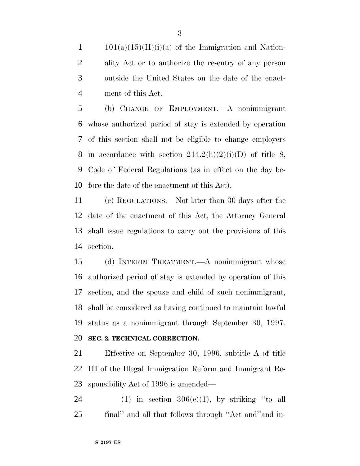$1 \qquad 101(a)(15)(H)(i)(a)$  of the Immigration and Nation- ality Act or to authorize the re-entry of any person outside the United States on the date of the enact-ment of this Act.

 (b) CHANGE OF EMPLOYMENT.—A nonimmigrant whose authorized period of stay is extended by operation of this section shall not be eligible to change employers 8 in accordance with section  $214.2(h)(2)(i)(D)$  of title 8, Code of Federal Regulations (as in effect on the day be-fore the date of the enactment of this Act).

 (c) REGULATIONS.—Not later than 30 days after the date of the enactment of this Act, the Attorney General shall issue regulations to carry out the provisions of this section.

 (d) INTERIM TREATMENT.—A nonimmigrant whose authorized period of stay is extended by operation of this section, and the spouse and child of such nonimmigrant, shall be considered as having continued to maintain lawful status as a nonimmigrant through September 30, 1997.

## **SEC. 2. TECHNICAL CORRECTION.**

 Effective on September 30, 1996, subtitle A of title III of the Illegal Immigration Reform and Immigrant Re-sponsibility Act of 1996 is amended—

24 (1) in section  $306(e)(1)$ , by striking "to all final'' and all that follows through ''Act and''and in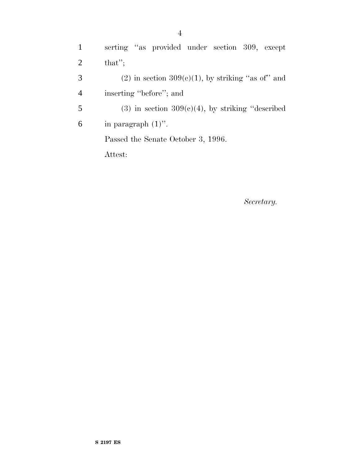1 serting ''as provided under section 309, except 2 that''; 3 (2) in section  $309(e)(1)$ , by striking "as of" and 4 inserting ''before''; and 5 (3) in section  $309(c)(4)$ , by striking "described 6 in paragraph  $(1)$ ".

Passed the Senate October 3, 1996.

Attest:

*Secretary.*